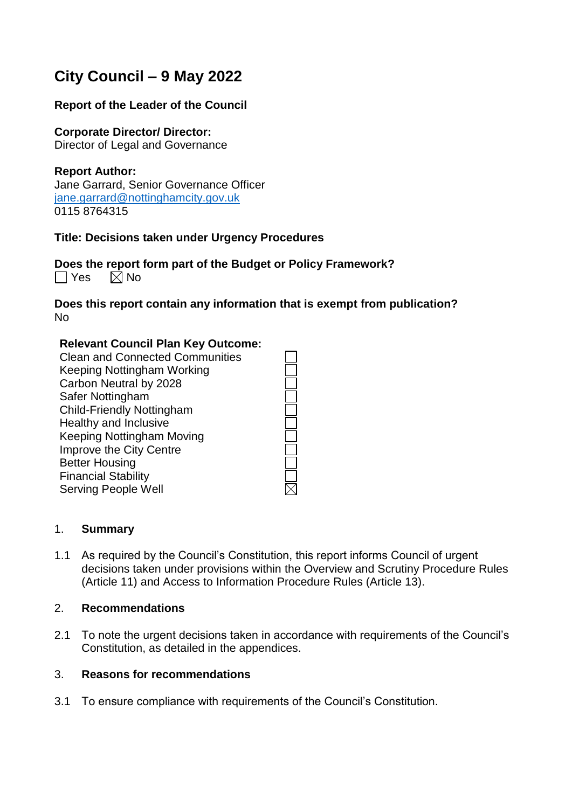# **City Council – 9 May 2022**

#### **Report of the Leader of the Council**

#### **Corporate Director/ Director:**

Director of Legal and Governance

#### **Report Author:**

Jane Garrard, Senior Governance Officer [jane.garrard@nottinghamcity.gov.uk](mailto:jane.garrard@nottinghamcity.gov.uk) 0115 8764315

#### **Title: Decisions taken under Urgency Procedures**

**Does the report form part of the Budget or Policy Framework?**  $\Box$  Yes  $\Box$  No

**Does this report contain any information that is exempt from publication?** No

#### **Relevant Council Plan Key Outcome:**

Clean and Connected Communities Keeping Nottingham Working Carbon Neutral by 2028 Safer Nottingham Child-Friendly Nottingham Healthy and Inclusive Keeping Nottingham Moving Improve the City Centre Better Housing Financial Stability Serving People Well

#### 1. **Summary**

1.1 As required by the Council's Constitution, this report informs Council of urgent decisions taken under provisions within the Overview and Scrutiny Procedure Rules (Article 11) and Access to Information Procedure Rules (Article 13).

#### 2. **Recommendations**

2.1 To note the urgent decisions taken in accordance with requirements of the Council's Constitution, as detailed in the appendices.

#### 3. **Reasons for recommendations**

3.1 To ensure compliance with requirements of the Council's Constitution.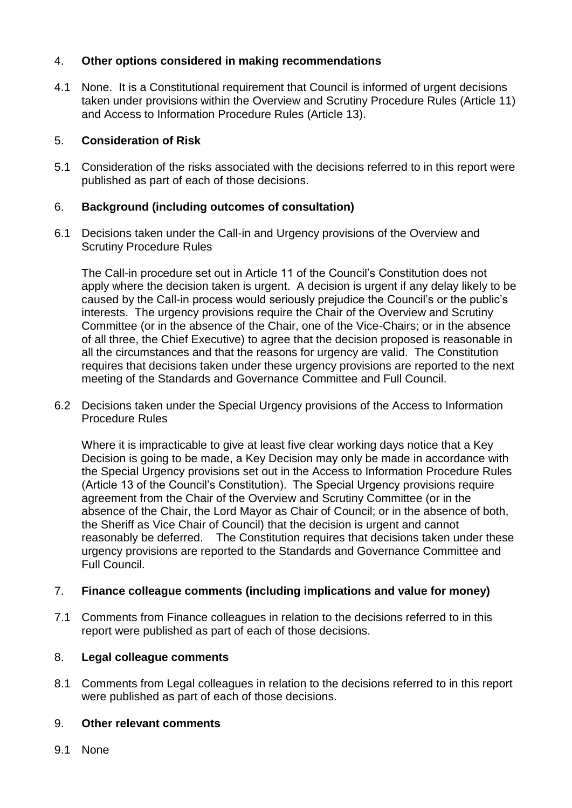## 4. **Other options considered in making recommendations**

4.1 None. It is a Constitutional requirement that Council is informed of urgent decisions taken under provisions within the Overview and Scrutiny Procedure Rules (Article 11) and Access to Information Procedure Rules (Article 13).

## 5. **Consideration of Risk**

5.1 Consideration of the risks associated with the decisions referred to in this report were published as part of each of those decisions.

## 6. **Background (including outcomes of consultation)**

6.1 Decisions taken under the Call-in and Urgency provisions of the Overview and Scrutiny Procedure Rules

The Call-in procedure set out in Article 11 of the Council's Constitution does not apply where the decision taken is urgent. A decision is urgent if any delay likely to be caused by the Call-in process would seriously prejudice the Council's or the public's interests. The urgency provisions require the Chair of the Overview and Scrutiny Committee (or in the absence of the Chair, one of the Vice-Chairs; or in the absence of all three, the Chief Executive) to agree that the decision proposed is reasonable in all the circumstances and that the reasons for urgency are valid. The Constitution requires that decisions taken under these urgency provisions are reported to the next meeting of the Standards and Governance Committee and Full Council.

6.2 Decisions taken under the Special Urgency provisions of the Access to Information Procedure Rules

Where it is impracticable to give at least five clear working days notice that a Key Decision is going to be made, a Key Decision may only be made in accordance with the Special Urgency provisions set out in the Access to Information Procedure Rules (Article 13 of the Council's Constitution). The Special Urgency provisions require agreement from the Chair of the Overview and Scrutiny Committee (or in the absence of the Chair, the Lord Mayor as Chair of Council; or in the absence of both, the Sheriff as Vice Chair of Council) that the decision is urgent and cannot reasonably be deferred. The Constitution requires that decisions taken under these urgency provisions are reported to the Standards and Governance Committee and Full Council.

## 7. **Finance colleague comments (including implications and value for money)**

7.1 Comments from Finance colleagues in relation to the decisions referred to in this report were published as part of each of those decisions.

## 8. **Legal colleague comments**

8.1 Comments from Legal colleagues in relation to the decisions referred to in this report were published as part of each of those decisions.

## 9. **Other relevant comments**

9.1 None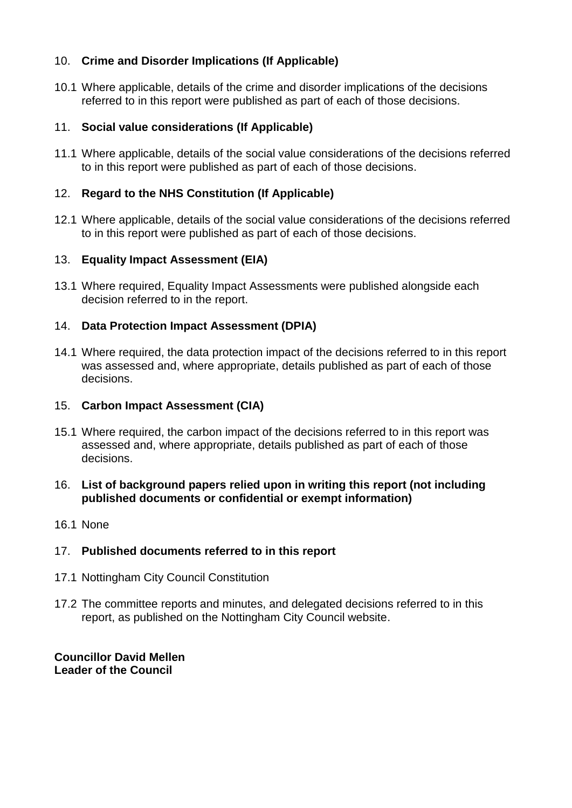## 10. **Crime and Disorder Implications (If Applicable)**

10.1 Where applicable, details of the crime and disorder implications of the decisions referred to in this report were published as part of each of those decisions.

## 11. **Social value considerations (If Applicable)**

11.1 Where applicable, details of the social value considerations of the decisions referred to in this report were published as part of each of those decisions.

## 12. **Regard to the NHS Constitution (If Applicable)**

12.1 Where applicable, details of the social value considerations of the decisions referred to in this report were published as part of each of those decisions.

## 13. **Equality Impact Assessment (EIA)**

13.1 Where required, Equality Impact Assessments were published alongside each decision referred to in the report.

## 14. **Data Protection Impact Assessment (DPIA)**

14.1 Where required, the data protection impact of the decisions referred to in this report was assessed and, where appropriate, details published as part of each of those decisions.

## 15. **Carbon Impact Assessment (CIA)**

15.1 Where required, the carbon impact of the decisions referred to in this report was assessed and, where appropriate, details published as part of each of those decisions.

## 16. **List of background papers relied upon in writing this report (not including published documents or confidential or exempt information)**

16.1 None

## 17. **Published documents referred to in this report**

- 17.1 Nottingham City Council Constitution
- 17.2 The committee reports and minutes, and delegated decisions referred to in this report, as published on the Nottingham City Council website.

**Councillor David Mellen Leader of the Council**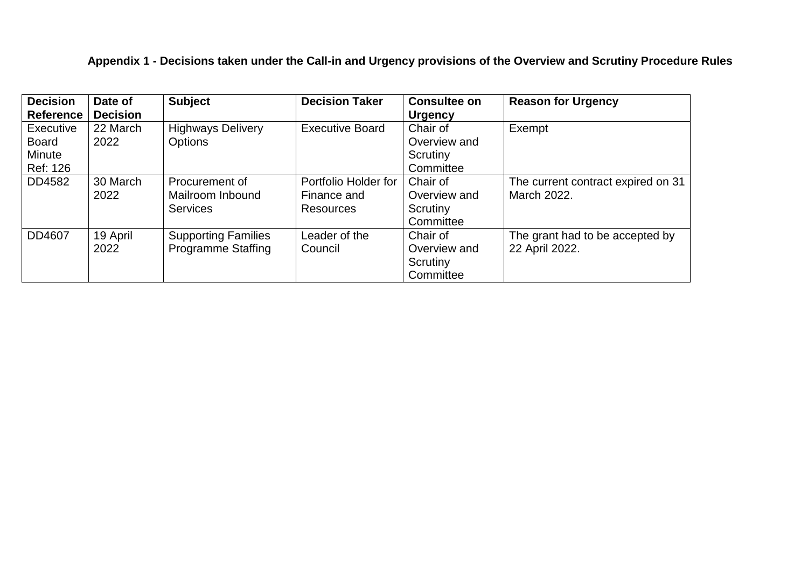# **Appendix 1 - Decisions taken under the Call-in and Urgency provisions of the Overview and Scrutiny Procedure Rules**

| <b>Decision</b><br><b>Reference</b>                           | Date of<br><b>Decision</b> | <b>Subject</b>                                          | <b>Decision Taker</b>                                   | <b>Consultee on</b><br><b>Urgency</b>             | <b>Reason for Urgency</b>                         |
|---------------------------------------------------------------|----------------------------|---------------------------------------------------------|---------------------------------------------------------|---------------------------------------------------|---------------------------------------------------|
| <b>Executive</b><br><b>Board</b><br><b>Minute</b><br>Ref: 126 | 22 March<br>2022           | <b>Highways Delivery</b><br>Options                     | <b>Executive Board</b>                                  | Chair of<br>Overview and<br>Scrutiny<br>Committee | Exempt                                            |
| DD4582                                                        | 30 March<br>2022           | Procurement of<br>Mailroom Inbound<br><b>Services</b>   | Portfolio Holder for<br>Finance and<br><b>Resources</b> | Chair of<br>Overview and<br>Scrutiny<br>Committee | The current contract expired on 31<br>March 2022. |
| DD4607                                                        | 19 April<br>2022           | <b>Supporting Families</b><br><b>Programme Staffing</b> | Leader of the<br>Council                                | Chair of<br>Overview and<br>Scrutiny<br>Committee | The grant had to be accepted by<br>22 April 2022. |